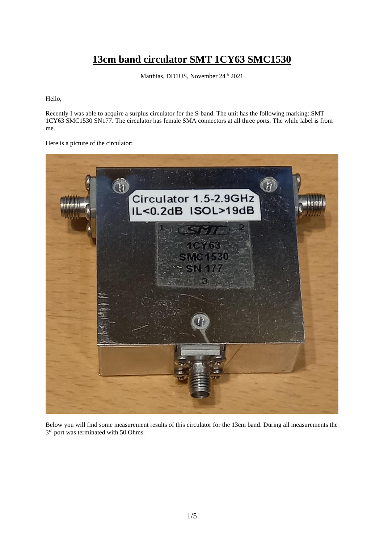## **13cm band circulator SMT 1CY63 SMC1530**

Matthias, DD1US, November 24<sup>th</sup> 2021

Hello,

Recently I was able to acquire a surplus circulator for the S-band. The unit has the following marking: SMT 1CY63 SMC1530 SN177. The circulator has female SMA connectors at all three ports. The while label is from me.

Here is a picture of the circulator:



Below you will find some measurement results of this circulator for the 13cm band. During all measurements the 3<sup>rd</sup> port was terminated with 50 Ohms.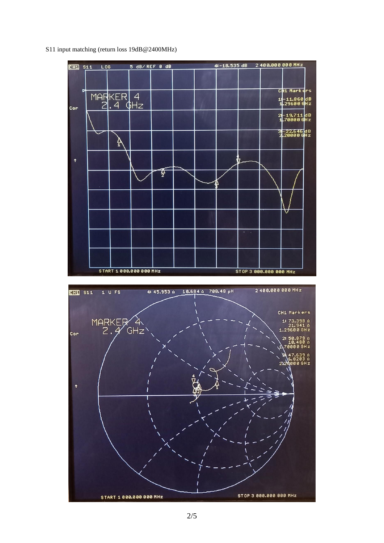S11 input matching (return loss 19dB@2400MHz)

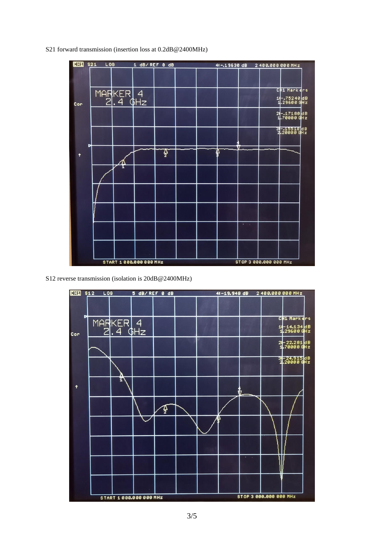S21 forward transmission (insertion loss at 0.2dB@2400MHz)



S12 reverse transmission (isolation is 20dB@2400MHz)

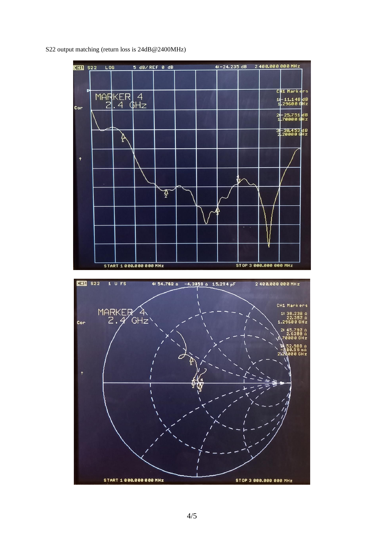S22 output matching (return loss is 24dB@2400MHz)